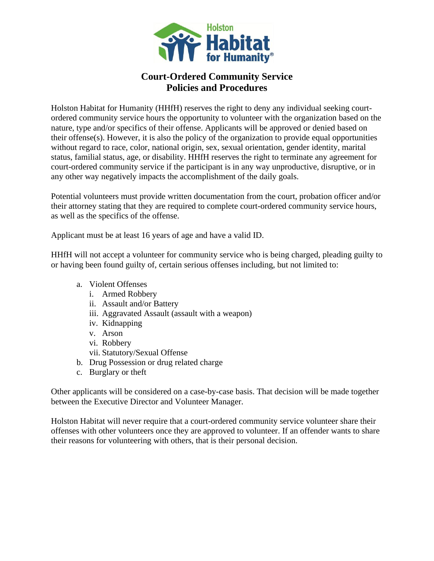

## **Court-Ordered Community Service Policies and Procedures**

Holston Habitat for Humanity (HHfH) reserves the right to deny any individual seeking courtordered community service hours the opportunity to volunteer with the organization based on the nature, type and/or specifics of their offense. Applicants will be approved or denied based on their offense(s). However, it is also the policy of the organization to provide equal opportunities without regard to race, color, national origin, sex, sexual orientation, gender identity, marital status, familial status, age, or disability. HHfH reserves the right to terminate any agreement for court-ordered community service if the participant is in any way unproductive, disruptive, or in any other way negatively impacts the accomplishment of the daily goals.

Potential volunteers must provide written documentation from the court, probation officer and/or their attorney stating that they are required to complete court-ordered community service hours, as well as the specifics of the offense.

Applicant must be at least 16 years of age and have a valid ID.

HHfH will not accept a volunteer for community service who is being charged, pleading guilty to or having been found guilty of, certain serious offenses including, but not limited to:

- a. Violent Offenses
	- i. Armed Robbery
	- ii. Assault and/or Battery
	- iii. Aggravated Assault (assault with a weapon)
	- iv. Kidnapping
	- v. Arson
	- vi. Robbery
	- vii. Statutory/Sexual Offense
- b. Drug Possession or drug related charge
- c. Burglary or theft

Other applicants will be considered on a case-by-case basis. That decision will be made together between the Executive Director and Volunteer Manager.

Holston Habitat will never require that a court-ordered community service volunteer share their offenses with other volunteers once they are approved to volunteer. If an offender wants to share their reasons for volunteering with others, that is their personal decision.